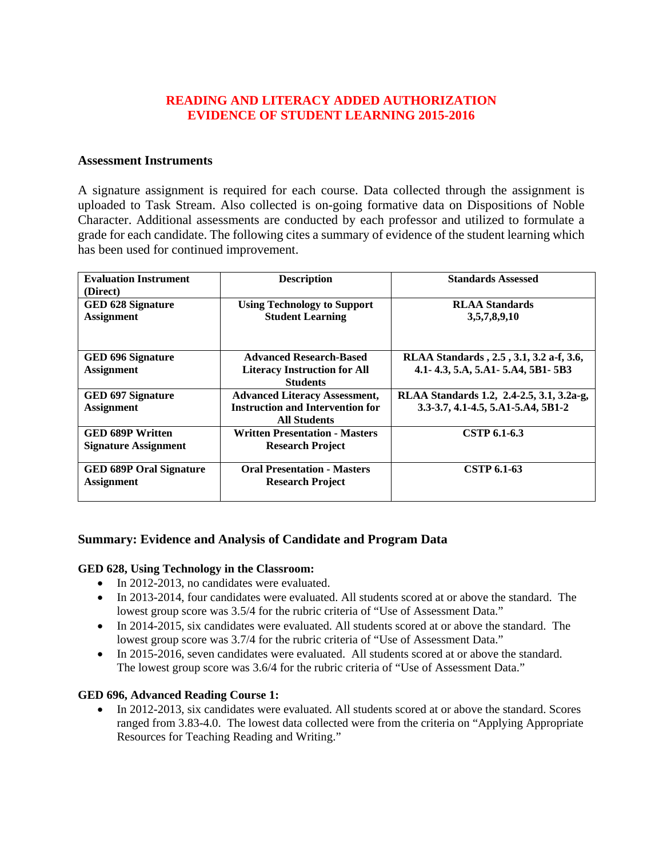# **READING AND LITERACY ADDED AUTHORIZATION EVIDENCE OF STUDENT LEARNING 2015-2016**

### **Assessment Instruments**

A signature assignment is required for each course. Data collected through the assignment is uploaded to Task Stream. Also collected is on-going formative data on Dispositions of Noble Character. Additional assessments are conducted by each professor and utilized to formulate a grade for each candidate. The following cites a summary of evidence of the student learning which has been used for continued improvement.

| <b>Evaluation Instrument</b><br>(Direct)               | <b>Description</b>                                                                                     | <b>Standards Assessed</b>                                                       |
|--------------------------------------------------------|--------------------------------------------------------------------------------------------------------|---------------------------------------------------------------------------------|
| <b>GED 628 Signature</b><br><b>Assignment</b>          | <b>Using Technology to Support</b><br><b>Student Learning</b>                                          | <b>RLAA</b> Standards<br>3,5,7,8,9,10                                           |
| GED 696 Signature<br><b>Assignment</b>                 | <b>Advanced Research-Based</b><br><b>Literacy Instruction for All</b><br><b>Students</b>               | RLAA Standards, 2.5, 3.1, 3.2 a-f, 3.6,<br>4.1-4.3, 5.A, 5.A1-5.A4, 5B1-5B3     |
| <b>GED 697 Signature</b><br><b>Assignment</b>          | <b>Advanced Literacy Assessment,</b><br><b>Instruction and Intervention for</b><br><b>All Students</b> | RLAA Standards 1.2, 2.4-2.5, 3.1, 3.2a-g,<br>3.3-3.7, 4.1-4.5, 5.A1-5.A4, 5B1-2 |
| <b>GED 689P Written</b><br><b>Signature Assignment</b> | <b>Written Presentation - Masters</b><br><b>Research Project</b>                                       | CSTP 6.1-6.3                                                                    |
| <b>GED 689P Oral Signature</b><br><b>Assignment</b>    | <b>Oral Presentation - Masters</b><br><b>Research Project</b>                                          | CSTP 6.1-63                                                                     |

## **Summary: Evidence and Analysis of Candidate and Program Data**

#### **GED 628, Using Technology in the Classroom:**

- In 2012-2013, no candidates were evaluated.
- In 2013-2014, four candidates were evaluated. All students scored at or above the standard. The lowest group score was  $3.5/4$  for the rubric criteria of "Use of Assessment Data."
- In 2014-2015, six candidates were evaluated. All students scored at or above the standard. The lowest group score was 3.7/4 for the rubric criteria of "Use of Assessment Data."
- In 2015-2016, seven candidates were evaluated. All students scored at or above the standard. The lowest group score was 3.6/4 for the rubric criteria of "Use of Assessment Data."

#### **GED 696, Advanced Reading Course 1:**

• In 2012-2013, six candidates were evaluated. All students scored at or above the standard. Scores ranged from 3.83-4.0. The lowest data collected were from the criteria on "Applying Appropriate Resources for Teaching Reading and Writing."